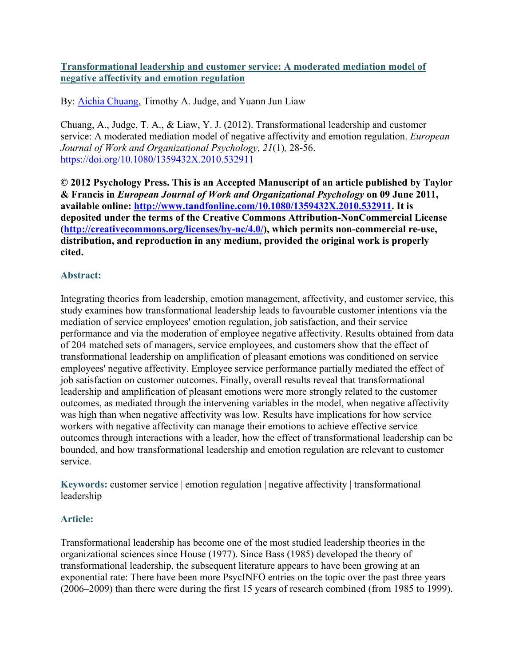# **Transformational leadership and customer service: A moderated mediation model of negative affectivity and emotion regulation**

By: [Aichia Chuang,](https://libres.uncg.edu/ir/uncg/clist.aspx?id=26149) Timothy A. Judge, and Yuann Jun Liaw

Chuang, A., Judge, T. A., & Liaw, Y. J. (2012). Transformational leadership and customer service: A moderated mediation model of negative affectivity and emotion regulation. *European Journal of Work and Organizational Psychology, 21*(1)*,* 28-56. <https://doi.org/10.1080/1359432X.2010.532911>

**© 2012 Psychology Press. This is an Accepted Manuscript of an article published by Taylor & Francis in** *European Journal of Work and Organizational Psychology* **on 09 June 2011, available online: [http://www.tandfonline.com/10.1080/1359432X.2010.532911.](http://www.tandfonline.com/10.1080/1359432X.2010.532911) It is deposited under the terms of the Creative Commons Attribution-NonCommercial License [\(http://creativecommons.org/licenses/by-nc/4.0/\)](http://creativecommons.org/licenses/by-nc/4.0/), which permits non-commercial re-use, distribution, and reproduction in any medium, provided the original work is properly cited.**

# **Abstract:**

Integrating theories from leadership, emotion management, affectivity, and customer service, this study examines how transformational leadership leads to favourable customer intentions via the mediation of service employees' emotion regulation, job satisfaction, and their service performance and via the moderation of employee negative affectivity. Results obtained from data of 204 matched sets of managers, service employees, and customers show that the effect of transformational leadership on amplification of pleasant emotions was conditioned on service employees' negative affectivity. Employee service performance partially mediated the effect of job satisfaction on customer outcomes. Finally, overall results reveal that transformational leadership and amplification of pleasant emotions were more strongly related to the customer outcomes, as mediated through the intervening variables in the model, when negative affectivity was high than when negative affectivity was low. Results have implications for how service workers with negative affectivity can manage their emotions to achieve effective service outcomes through interactions with a leader, how the effect of transformational leadership can be bounded, and how transformational leadership and emotion regulation are relevant to customer service.

**Keywords:** customer service | emotion regulation | negative affectivity | transformational leadership

# **Article:**

Transformational leadership has become one of the most studied leadership theories in the organizational sciences since House (1977). Since Bass (1985) developed the theory of transformational leadership, the subsequent literature appears to have been growing at an exponential rate: There have been more PsycINFO entries on the topic over the past three years (2006–2009) than there were during the first 15 years of research combined (from 1985 to 1999).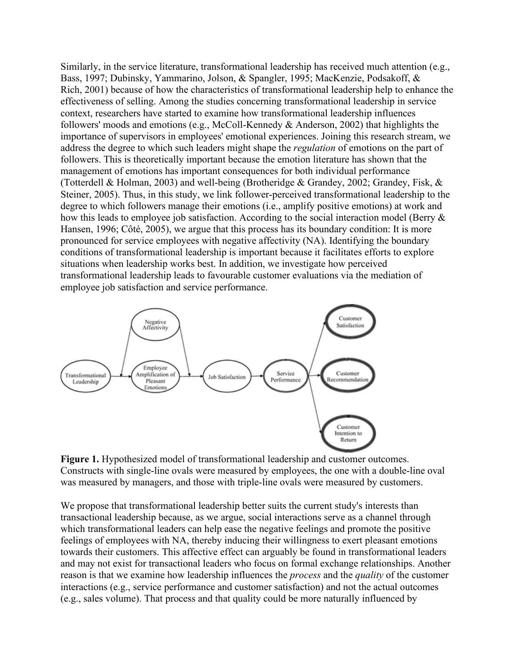Similarly, in the service literature, transformational leadership has received much attention (e.g., Bass, 1997; Dubinsky, Yammarino, Jolson, & Spangler, 1995; MacKenzie, Podsakoff, & Rich, 2001) because of how the characteristics of transformational leadership help to enhance the effectiveness of selling. Among the studies concerning transformational leadership in service context, researchers have started to examine how transformational leadership influences followers' moods and emotions (e.g., McColl-Kennedy & Anderson, 2002) that highlights the importance of supervisors in employees' emotional experiences. Joining this research stream, we address the degree to which such leaders might shape the *regulation* of emotions on the part of followers. This is theoretically important because the emotion literature has shown that the management of emotions has important consequences for both individual performance (Totterdell & Holman, 2003) and well-being (Brotheridge & Grandey, 2002; Grandey, Fisk, & Steiner, 2005). Thus, in this study, we link follower-perceived transformational leadership to the degree to which followers manage their emotions (i.e., amplify positive emotions) at work and how this leads to employee job satisfaction. According to the social interaction model (Berry & Hansen, 1996; Côté, 2005), we argue that this process has its boundary condition: It is more pronounced for service employees with negative affectivity (NA). Identifying the boundary conditions of transformational leadership is important because it facilitates efforts to explore situations when leadership works best. In addition, we investigate how perceived transformational leadership leads to favourable customer evaluations via the mediation of employee job satisfaction and service performance.



**Figure 1.** Hypothesized model of transformational leadership and customer outcomes. Constructs with single-line ovals were measured by employees, the one with a double-line oval was measured by managers, and those with triple-line ovals were measured by customers.

We propose that transformational leadership better suits the current study's interests than transactional leadership because, as we argue, social interactions serve as a channel through which transformational leaders can help ease the negative feelings and promote the positive feelings of employees with NA, thereby inducing their willingness to exert pleasant emotions towards their customers. This affective effect can arguably be found in transformational leaders and may not exist for transactional leaders who focus on formal exchange relationships. Another reason is that we examine how leadership influences the *process* and the *quality* of the customer interactions (e.g., service performance and customer satisfaction) and not the actual outcomes (e.g., sales volume). That process and that quality could be more naturally influenced by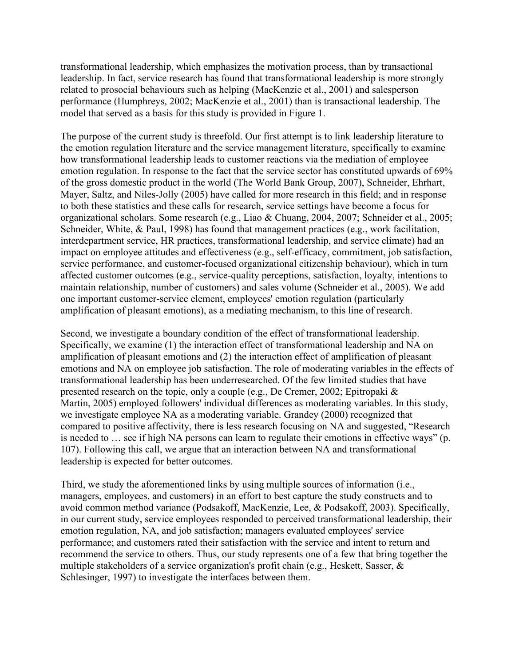transformational leadership, which emphasizes the motivation process, than by transactional leadership. In fact, service research has found that transformational leadership is more strongly related to prosocial behaviours such as helping (MacKenzie et al., 2001) and salesperson performance (Humphreys, 2002; MacKenzie et al., 2001) than is transactional leadership. The model that served as a basis for this study is provided in Figure 1.

The purpose of the current study is threefold. Our first attempt is to link leadership literature to the emotion regulation literature and the service management literature, specifically to examine how transformational leadership leads to customer reactions via the mediation of employee emotion regulation. In response to the fact that the service sector has constituted upwards of 69% of the gross domestic product in the world (The World Bank Group, 2007), Schneider, Ehrhart, Mayer, Saltz, and Niles-Jolly (2005) have called for more research in this field; and in response to both these statistics and these calls for research, service settings have become a focus for organizational scholars. Some research (e.g., Liao & Chuang, 2004, 2007; Schneider et al., 2005; Schneider, White, & Paul, 1998) has found that management practices (e.g., work facilitation, interdepartment service, HR practices, transformational leadership, and service climate) had an impact on employee attitudes and effectiveness (e.g., self-efficacy, commitment, job satisfaction, service performance, and customer-focused organizational citizenship behaviour), which in turn affected customer outcomes (e.g., service-quality perceptions, satisfaction, loyalty, intentions to maintain relationship, number of customers) and sales volume (Schneider et al., 2005). We add one important customer-service element, employees' emotion regulation (particularly amplification of pleasant emotions), as a mediating mechanism, to this line of research.

Second, we investigate a boundary condition of the effect of transformational leadership. Specifically, we examine (1) the interaction effect of transformational leadership and NA on amplification of pleasant emotions and (2) the interaction effect of amplification of pleasant emotions and NA on employee job satisfaction. The role of moderating variables in the effects of transformational leadership has been underresearched. Of the few limited studies that have presented research on the topic, only a couple (e.g., De Cremer, 2002; Epitropaki & Martin, 2005) employed followers' individual differences as moderating variables. In this study, we investigate employee NA as a moderating variable. Grandey (2000) recognized that compared to positive affectivity, there is less research focusing on NA and suggested, "Research is needed to … see if high NA persons can learn to regulate their emotions in effective ways" (p. 107). Following this call, we argue that an interaction between NA and transformational leadership is expected for better outcomes.

Third, we study the aforementioned links by using multiple sources of information (i.e., managers, employees, and customers) in an effort to best capture the study constructs and to avoid common method variance (Podsakoff, MacKenzie, Lee, & Podsakoff, 2003). Specifically, in our current study, service employees responded to perceived transformational leadership, their emotion regulation, NA, and job satisfaction; managers evaluated employees' service performance; and customers rated their satisfaction with the service and intent to return and recommend the service to others. Thus, our study represents one of a few that bring together the multiple stakeholders of a service organization's profit chain (e.g., Heskett, Sasser, & Schlesinger, 1997) to investigate the interfaces between them.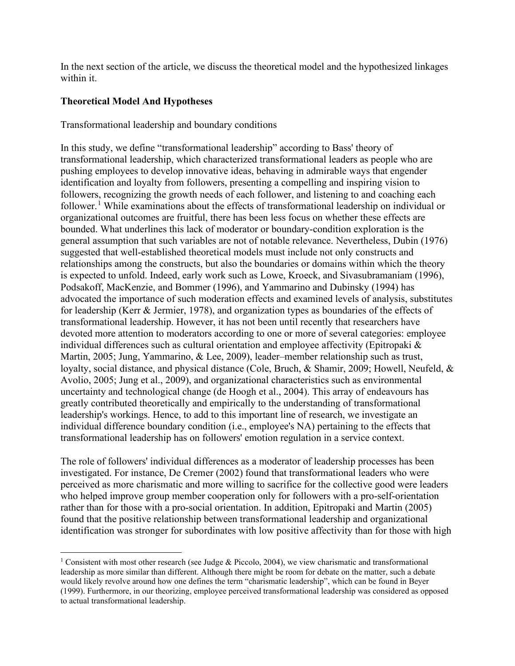In the next section of the article, we discuss the theoretical model and the hypothesized linkages within it.

## **Theoretical Model And Hypotheses**

Transformational leadership and boundary conditions

In this study, we define "transformational leadership" according to Bass' theory of transformational leadership, which characterized transformational leaders as people who are pushing employees to develop innovative ideas, behaving in admirable ways that engender identification and loyalty from followers, presenting a compelling and inspiring vision to followers, recognizing the growth needs of each follower, and listening to and coaching each follower.<sup>[1](#page-3-0)</sup> While examinations about the effects of transformational leadership on individual or organizational outcomes are fruitful, there has been less focus on whether these effects are bounded. What underlines this lack of moderator or boundary-condition exploration is the general assumption that such variables are not of notable relevance. Nevertheless, Dubin (1976) suggested that well-established theoretical models must include not only constructs and relationships among the constructs, but also the boundaries or domains within which the theory is expected to unfold. Indeed, early work such as Lowe, Kroeck, and Sivasubramaniam (1996), Podsakoff, MacKenzie, and Bommer (1996), and Yammarino and Dubinsky (1994) has advocated the importance of such moderation effects and examined levels of analysis, substitutes for leadership (Kerr & Jermier, 1978), and organization types as boundaries of the effects of transformational leadership. However, it has not been until recently that researchers have devoted more attention to moderators according to one or more of several categories: employee individual differences such as cultural orientation and employee affectivity (Epitropaki & Martin, 2005; Jung, Yammarino, & Lee, 2009), leader–member relationship such as trust, loyalty, social distance, and physical distance (Cole, Bruch, & Shamir, 2009; Howell, Neufeld, & Avolio, 2005; Jung et al., 2009), and organizational characteristics such as environmental uncertainty and technological change (de Hoogh et al., 2004). This array of endeavours has greatly contributed theoretically and empirically to the understanding of transformational leadership's workings. Hence, to add to this important line of research, we investigate an individual difference boundary condition (i.e., employee's NA) pertaining to the effects that transformational leadership has on followers' emotion regulation in a service context.

The role of followers' individual differences as a moderator of leadership processes has been investigated. For instance, De Cremer (2002) found that transformational leaders who were perceived as more charismatic and more willing to sacrifice for the collective good were leaders who helped improve group member cooperation only for followers with a pro-self-orientation rather than for those with a pro-social orientation. In addition, Epitropaki and Martin (2005) found that the positive relationship between transformational leadership and organizational identification was stronger for subordinates with low positive affectivity than for those with high

<span id="page-3-0"></span><sup>&</sup>lt;sup>1</sup> Consistent with most other research (see Judge & Piccolo, 2004), we view charismatic and transformational leadership as more similar than different. Although there might be room for debate on the matter, such a debate would likely revolve around how one defines the term "charismatic leadership", which can be found in Beyer (1999). Furthermore, in our theorizing, employee perceived transformational leadership was considered as opposed to actual transformational leadership.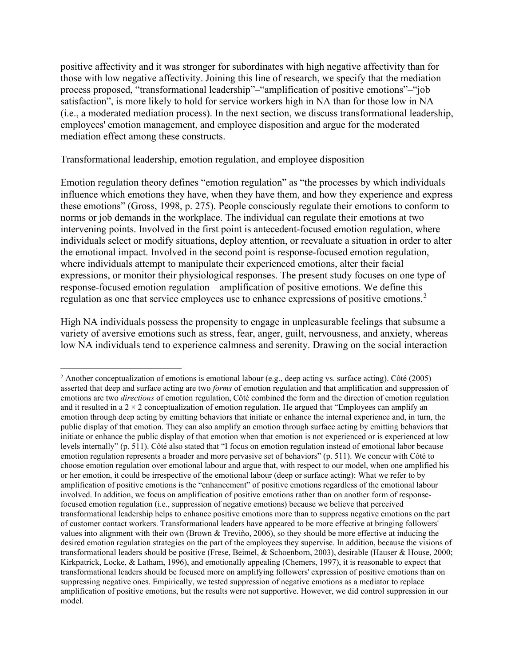positive affectivity and it was stronger for subordinates with high negative affectivity than for those with low negative affectivity. Joining this line of research, we specify that the mediation process proposed, "transformational leadership"–"amplification of positive emotions"–"job satisfaction", is more likely to hold for service workers high in NA than for those low in NA (i.e., a moderated mediation process). In the next section, we discuss transformational leadership, employees' emotion management, and employee disposition and argue for the moderated mediation effect among these constructs.

#### Transformational leadership, emotion regulation, and employee disposition

Emotion regulation theory defines "emotion regulation" as "the processes by which individuals influence which emotions they have, when they have them, and how they experience and express these emotions" (Gross, 1998, p. 275). People consciously regulate their emotions to conform to norms or job demands in the workplace. The individual can regulate their emotions at two intervening points. Involved in the first point is antecedent-focused emotion regulation, where individuals select or modify situations, deploy attention, or reevaluate a situation in order to alter the emotional impact. Involved in the second point is response-focused emotion regulation, where individuals attempt to manipulate their experienced emotions, alter their facial expressions, or monitor their physiological responses. The present study focuses on one type of response-focused emotion regulation—amplification of positive emotions. We define this regulation as one that service employees use to enhance expressions of positive emotions.<sup>[2](#page-4-0)</sup>

High NA individuals possess the propensity to engage in unpleasurable feelings that subsume a variety of aversive emotions such as stress, fear, anger, guilt, nervousness, and anxiety, whereas low NA individuals tend to experience calmness and serenity. Drawing on the social interaction

<span id="page-4-0"></span><sup>&</sup>lt;sup>2</sup> Another conceptualization of emotions is emotional labour (e.g., deep acting vs. surface acting). Côté (2005) asserted that deep and surface acting are two *forms* of emotion regulation and that amplification and suppression of emotions are two *directions* of emotion regulation, Côté combined the form and the direction of emotion regulation and it resulted in a  $2 \times 2$  conceptualization of emotion regulation. He argued that "Employees can amplify an emotion through deep acting by emitting behaviors that initiate or enhance the internal experience and, in turn, the public display of that emotion. They can also amplify an emotion through surface acting by emitting behaviors that initiate or enhance the public display of that emotion when that emotion is not experienced or is experienced at low levels internally" (p. 511). Côté also stated that "I focus on emotion regulation instead of emotional labor because emotion regulation represents a broader and more pervasive set of behaviors" (p. 511). We concur with Côté to choose emotion regulation over emotional labour and argue that, with respect to our model, when one amplified his or her emotion, it could be irrespective of the emotional labour (deep or surface acting): What we refer to by amplification of positive emotions is the "enhancement" of positive emotions regardless of the emotional labour involved. In addition, we focus on amplification of positive emotions rather than on another form of responsefocused emotion regulation (i.e., suppression of negative emotions) because we believe that perceived transformational leadership helps to enhance positive emotions more than to suppress negative emotions on the part of customer contact workers. Transformational leaders have appeared to be more effective at bringing followers' values into alignment with their own (Brown & Treviño, 2006), so they should be more effective at inducing the desired emotion regulation strategies on the part of the employees they supervise. In addition, because the visions of transformational leaders should be positive (Frese, Beimel, & Schoenborn, 2003), desirable (Hauser & House, 2000; Kirkpatrick, Locke, & Latham, 1996), and emotionally appealing (Chemers, 1997), it is reasonable to expect that transformational leaders should be focused more on amplifying followers' expression of positive emotions than on suppressing negative ones. Empirically, we tested suppression of negative emotions as a mediator to replace amplification of positive emotions, but the results were not supportive. However, we did control suppression in our model.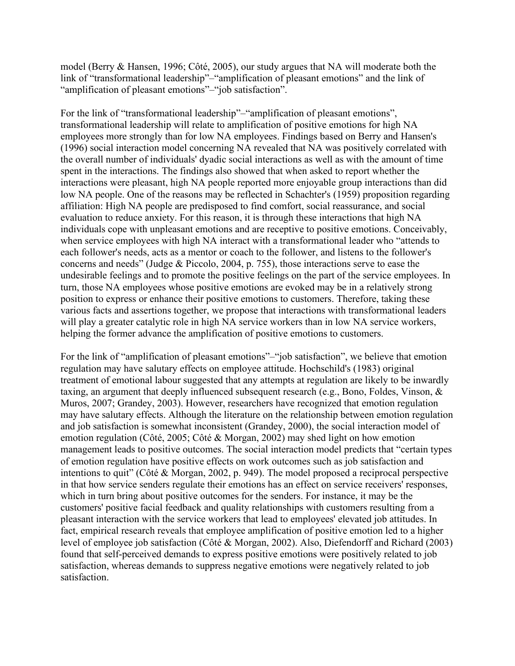model (Berry & Hansen, 1996; Côté, 2005), our study argues that NA will moderate both the link of "transformational leadership"–"amplification of pleasant emotions" and the link of "amplification of pleasant emotions"–"job satisfaction".

For the link of "transformational leadership"–"amplification of pleasant emotions", transformational leadership will relate to amplification of positive emotions for high NA employees more strongly than for low NA employees. Findings based on Berry and Hansen's (1996) social interaction model concerning NA revealed that NA was positively correlated with the overall number of individuals' dyadic social interactions as well as with the amount of time spent in the interactions. The findings also showed that when asked to report whether the interactions were pleasant, high NA people reported more enjoyable group interactions than did low NA people. One of the reasons may be reflected in Schachter's (1959) proposition regarding affiliation: High NA people are predisposed to find comfort, social reassurance, and social evaluation to reduce anxiety. For this reason, it is through these interactions that high NA individuals cope with unpleasant emotions and are receptive to positive emotions. Conceivably, when service employees with high NA interact with a transformational leader who "attends to each follower's needs, acts as a mentor or coach to the follower, and listens to the follower's concerns and needs" (Judge & Piccolo, 2004, p. 755), those interactions serve to ease the undesirable feelings and to promote the positive feelings on the part of the service employees. In turn, those NA employees whose positive emotions are evoked may be in a relatively strong position to express or enhance their positive emotions to customers. Therefore, taking these various facts and assertions together, we propose that interactions with transformational leaders will play a greater catalytic role in high NA service workers than in low NA service workers, helping the former advance the amplification of positive emotions to customers.

For the link of "amplification of pleasant emotions"–"job satisfaction", we believe that emotion regulation may have salutary effects on employee attitude. Hochschild's (1983) original treatment of emotional labour suggested that any attempts at regulation are likely to be inwardly taxing, an argument that deeply influenced subsequent research (e.g., Bono, Foldes, Vinson, & Muros, 2007; Grandey, 2003). However, researchers have recognized that emotion regulation may have salutary effects. Although the literature on the relationship between emotion regulation and job satisfaction is somewhat inconsistent (Grandey, 2000), the social interaction model of emotion regulation (Côté, 2005; Côté & Morgan, 2002) may shed light on how emotion management leads to positive outcomes. The social interaction model predicts that "certain types of emotion regulation have positive effects on work outcomes such as job satisfaction and intentions to quit" (Côté & Morgan, 2002, p. 949). The model proposed a reciprocal perspective in that how service senders regulate their emotions has an effect on service receivers' responses, which in turn bring about positive outcomes for the senders. For instance, it may be the customers' positive facial feedback and quality relationships with customers resulting from a pleasant interaction with the service workers that lead to employees' elevated job attitudes. In fact, empirical research reveals that employee amplification of positive emotion led to a higher level of employee job satisfaction (Côté & Morgan, 2002). Also, Diefendorff and Richard (2003) found that self-perceived demands to express positive emotions were positively related to job satisfaction, whereas demands to suppress negative emotions were negatively related to job satisfaction.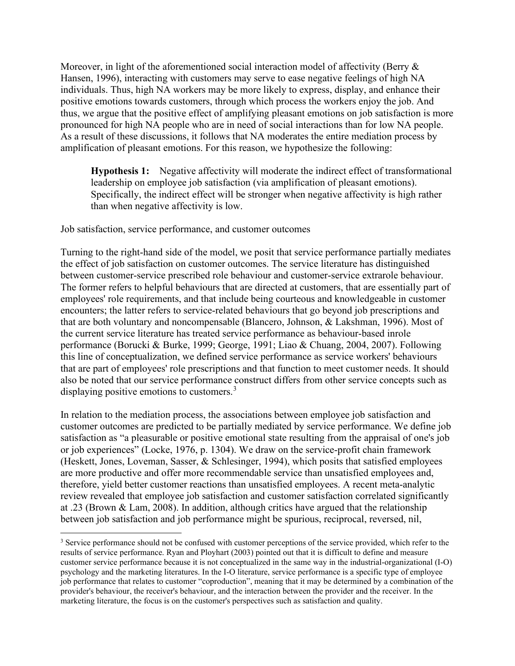Moreover, in light of the aforementioned social interaction model of affectivity (Berry  $\&$ Hansen, 1996), interacting with customers may serve to ease negative feelings of high NA individuals. Thus, high NA workers may be more likely to express, display, and enhance their positive emotions towards customers, through which process the workers enjoy the job. And thus, we argue that the positive effect of amplifying pleasant emotions on job satisfaction is more pronounced for high NA people who are in need of social interactions than for low NA people. As a result of these discussions, it follows that NA moderates the entire mediation process by amplification of pleasant emotions. For this reason, we hypothesize the following:

**Hypothesis 1:** Negative affectivity will moderate the indirect effect of transformational leadership on employee job satisfaction (via amplification of pleasant emotions). Specifically, the indirect effect will be stronger when negative affectivity is high rather than when negative affectivity is low.

Job satisfaction, service performance, and customer outcomes

Turning to the right-hand side of the model, we posit that service performance partially mediates the effect of job satisfaction on customer outcomes. The service literature has distinguished between customer-service prescribed role behaviour and customer-service extrarole behaviour. The former refers to helpful behaviours that are directed at customers, that are essentially part of employees' role requirements, and that include being courteous and knowledgeable in customer encounters; the latter refers to service-related behaviours that go beyond job prescriptions and that are both voluntary and noncompensable (Blancero, Johnson, & Lakshman, 1996). Most of the current service literature has treated service performance as behaviour-based inrole performance (Borucki & Burke, 1999; George, 1991; Liao & Chuang, 2004, 2007). Following this line of conceptualization, we defined service performance as service workers' behaviours that are part of employees' role prescriptions and that function to meet customer needs. It should also be noted that our service performance construct differs from other service concepts such as displaying positive emotions to customers.<sup>[3](#page-6-0)</sup>

In relation to the mediation process, the associations between employee job satisfaction and customer outcomes are predicted to be partially mediated by service performance. We define job satisfaction as "a pleasurable or positive emotional state resulting from the appraisal of one's job or job experiences" (Locke, 1976, p. 1304). We draw on the service-profit chain framework (Heskett, Jones, Loveman, Sasser, & Schlesinger, 1994), which posits that satisfied employees are more productive and offer more recommendable service than unsatisfied employees and, therefore, yield better customer reactions than unsatisfied employees. A recent meta-analytic review revealed that employee job satisfaction and customer satisfaction correlated significantly at .23 (Brown & Lam, 2008). In addition, although critics have argued that the relationship between job satisfaction and job performance might be spurious, reciprocal, reversed, nil,

<span id="page-6-0"></span><sup>&</sup>lt;sup>3</sup> Service performance should not be confused with customer perceptions of the service provided, which refer to the results of service performance. Ryan and Ployhart (2003) pointed out that it is difficult to define and measure customer service performance because it is not conceptualized in the same way in the industrial-organizational (I-O) psychology and the marketing literatures. In the I-O literature, service performance is a specific type of employee job performance that relates to customer "coproduction", meaning that it may be determined by a combination of the provider's behaviour, the receiver's behaviour, and the interaction between the provider and the receiver. In the marketing literature, the focus is on the customer's perspectives such as satisfaction and quality.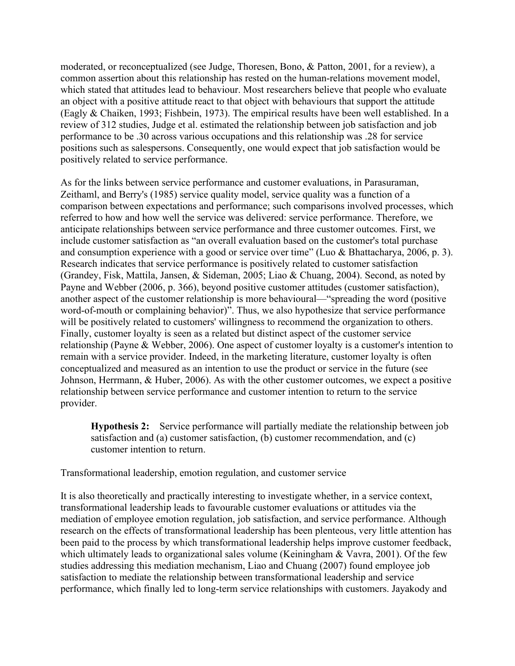moderated, or reconceptualized (see Judge, Thoresen, Bono, & Patton, 2001, for a review), a common assertion about this relationship has rested on the human-relations movement model, which stated that attitudes lead to behaviour. Most researchers believe that people who evaluate an object with a positive attitude react to that object with behaviours that support the attitude (Eagly & Chaiken, 1993; Fishbein, 1973). The empirical results have been well established. In a review of 312 studies, Judge et al. estimated the relationship between job satisfaction and job performance to be .30 across various occupations and this relationship was .28 for service positions such as salespersons. Consequently, one would expect that job satisfaction would be positively related to service performance.

As for the links between service performance and customer evaluations, in Parasuraman, Zeithaml, and Berry's (1985) service quality model, service quality was a function of a comparison between expectations and performance; such comparisons involved processes, which referred to how and how well the service was delivered: service performance. Therefore, we anticipate relationships between service performance and three customer outcomes. First, we include customer satisfaction as "an overall evaluation based on the customer's total purchase and consumption experience with a good or service over time" (Luo & Bhattacharya, 2006, p. 3). Research indicates that service performance is positively related to customer satisfaction (Grandey, Fisk, Mattila, Jansen, & Sideman, 2005; Liao & Chuang, 2004). Second, as noted by Payne and Webber (2006, p. 366), beyond positive customer attitudes (customer satisfaction), another aspect of the customer relationship is more behavioural—"spreading the word (positive word-of-mouth or complaining behavior)". Thus, we also hypothesize that service performance will be positively related to customers' willingness to recommend the organization to others. Finally, customer loyalty is seen as a related but distinct aspect of the customer service relationship (Payne & Webber, 2006). One aspect of customer loyalty is a customer's intention to remain with a service provider. Indeed, in the marketing literature, customer loyalty is often conceptualized and measured as an intention to use the product or service in the future (see Johnson, Herrmann, & Huber, 2006). As with the other customer outcomes, we expect a positive relationship between service performance and customer intention to return to the service provider.

**Hypothesis 2:** Service performance will partially mediate the relationship between job satisfaction and (a) customer satisfaction, (b) customer recommendation, and (c) customer intention to return.

Transformational leadership, emotion regulation, and customer service

It is also theoretically and practically interesting to investigate whether, in a service context, transformational leadership leads to favourable customer evaluations or attitudes via the mediation of employee emotion regulation, job satisfaction, and service performance. Although research on the effects of transformational leadership has been plenteous, very little attention has been paid to the process by which transformational leadership helps improve customer feedback, which ultimately leads to organizational sales volume (Keiningham & Vavra, 2001). Of the few studies addressing this mediation mechanism, Liao and Chuang (2007) found employee job satisfaction to mediate the relationship between transformational leadership and service performance, which finally led to long-term service relationships with customers. Jayakody and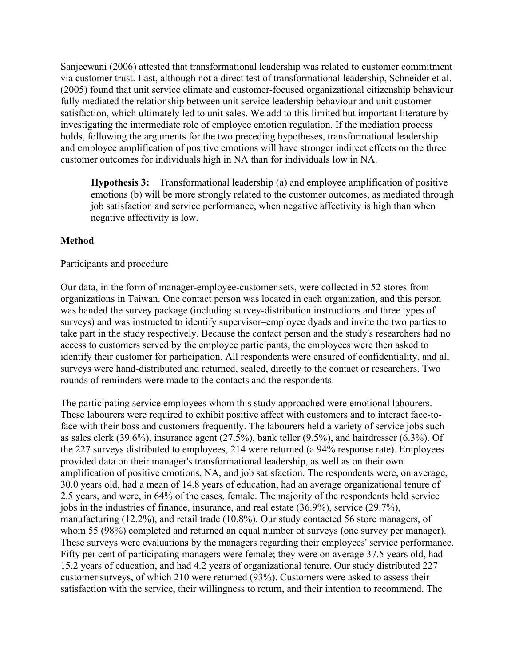Sanjeewani (2006) attested that transformational leadership was related to customer commitment via customer trust. Last, although not a direct test of transformational leadership, Schneider et al. (2005) found that unit service climate and customer-focused organizational citizenship behaviour fully mediated the relationship between unit service leadership behaviour and unit customer satisfaction, which ultimately led to unit sales. We add to this limited but important literature by investigating the intermediate role of employee emotion regulation. If the mediation process holds, following the arguments for the two preceding hypotheses, transformational leadership and employee amplification of positive emotions will have stronger indirect effects on the three customer outcomes for individuals high in NA than for individuals low in NA.

**Hypothesis 3:** Transformational leadership (a) and employee amplification of positive emotions (b) will be more strongly related to the customer outcomes, as mediated through job satisfaction and service performance, when negative affectivity is high than when negative affectivity is low.

### **Method**

### Participants and procedure

Our data, in the form of manager-employee-customer sets, were collected in 52 stores from organizations in Taiwan. One contact person was located in each organization, and this person was handed the survey package (including survey-distribution instructions and three types of surveys) and was instructed to identify supervisor–employee dyads and invite the two parties to take part in the study respectively. Because the contact person and the study's researchers had no access to customers served by the employee participants, the employees were then asked to identify their customer for participation. All respondents were ensured of confidentiality, and all surveys were hand-distributed and returned, sealed, directly to the contact or researchers. Two rounds of reminders were made to the contacts and the respondents.

The participating service employees whom this study approached were emotional labourers. These labourers were required to exhibit positive affect with customers and to interact face-toface with their boss and customers frequently. The labourers held a variety of service jobs such as sales clerk (39.6%), insurance agent (27.5%), bank teller (9.5%), and hairdresser (6.3%). Of the 227 surveys distributed to employees, 214 were returned (a 94% response rate). Employees provided data on their manager's transformational leadership, as well as on their own amplification of positive emotions, NA, and job satisfaction. The respondents were, on average, 30.0 years old, had a mean of 14.8 years of education, had an average organizational tenure of 2.5 years, and were, in 64% of the cases, female. The majority of the respondents held service jobs in the industries of finance, insurance, and real estate (36.9%), service (29.7%), manufacturing (12.2%), and retail trade (10.8%). Our study contacted 56 store managers, of whom 55 (98%) completed and returned an equal number of surveys (one survey per manager). These surveys were evaluations by the managers regarding their employees' service performance. Fifty per cent of participating managers were female; they were on average 37.5 years old, had 15.2 years of education, and had 4.2 years of organizational tenure. Our study distributed 227 customer surveys, of which 210 were returned (93%). Customers were asked to assess their satisfaction with the service, their willingness to return, and their intention to recommend. The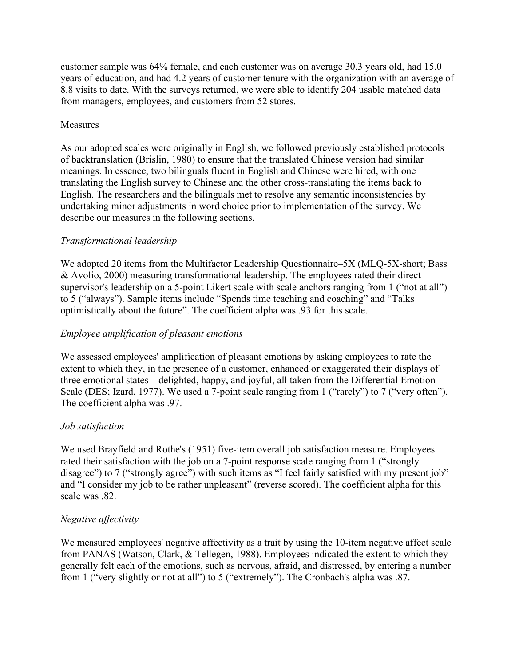customer sample was 64% female, and each customer was on average 30.3 years old, had 15.0 years of education, and had 4.2 years of customer tenure with the organization with an average of 8.8 visits to date. With the surveys returned, we were able to identify 204 usable matched data from managers, employees, and customers from 52 stores.

# Measures

As our adopted scales were originally in English, we followed previously established protocols of backtranslation (Brislin, 1980) to ensure that the translated Chinese version had similar meanings. In essence, two bilinguals fluent in English and Chinese were hired, with one translating the English survey to Chinese and the other cross-translating the items back to English. The researchers and the bilinguals met to resolve any semantic inconsistencies by undertaking minor adjustments in word choice prior to implementation of the survey. We describe our measures in the following sections.

# *Transformational leadership*

We adopted 20 items from the Multifactor Leadership Questionnaire–5X (MLQ-5X-short; Bass & Avolio, 2000) measuring transformational leadership. The employees rated their direct supervisor's leadership on a 5-point Likert scale with scale anchors ranging from 1 ("not at all") to 5 ("always"). Sample items include "Spends time teaching and coaching" and "Talks optimistically about the future". The coefficient alpha was .93 for this scale.

# *Employee amplification of pleasant emotions*

We assessed employees' amplification of pleasant emotions by asking employees to rate the extent to which they, in the presence of a customer, enhanced or exaggerated their displays of three emotional states—delighted, happy, and joyful, all taken from the Differential Emotion Scale (DES; Izard, 1977). We used a 7-point scale ranging from 1 ("rarely") to 7 ("very often"). The coefficient alpha was .97.

# *Job satisfaction*

We used Brayfield and Rothe's (1951) five-item overall job satisfaction measure. Employees rated their satisfaction with the job on a 7-point response scale ranging from 1 ("strongly disagree") to 7 ("strongly agree") with such items as "I feel fairly satisfied with my present job" and "I consider my job to be rather unpleasant" (reverse scored). The coefficient alpha for this scale was .82.

# *Negative affectivity*

We measured employees' negative affectivity as a trait by using the 10-item negative affect scale from PANAS (Watson, Clark, & Tellegen, 1988). Employees indicated the extent to which they generally felt each of the emotions, such as nervous, afraid, and distressed, by entering a number from 1 ("very slightly or not at all") to 5 ("extremely"). The Cronbach's alpha was .87.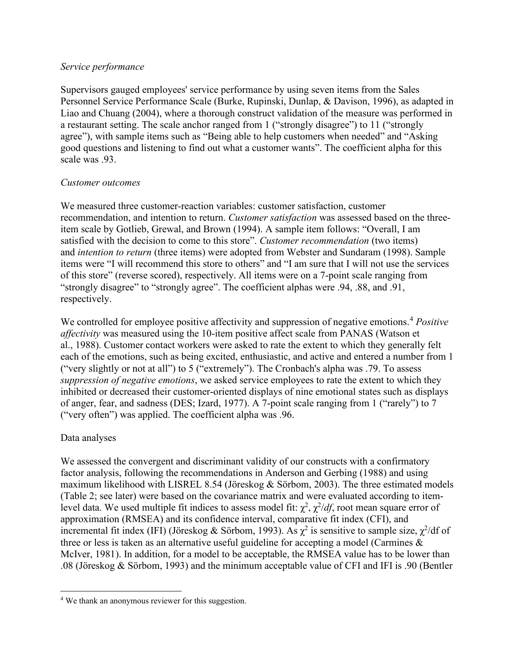### *Service performance*

Supervisors gauged employees' service performance by using seven items from the Sales Personnel Service Performance Scale (Burke, Rupinski, Dunlap, & Davison, 1996), as adapted in Liao and Chuang (2004), where a thorough construct validation of the measure was performed in a restaurant setting. The scale anchor ranged from 1 ("strongly disagree") to 11 ("strongly agree"), with sample items such as "Being able to help customers when needed" and "Asking good questions and listening to find out what a customer wants". The coefficient alpha for this scale was .93.

# *Customer outcomes*

We measured three customer-reaction variables: customer satisfaction, customer recommendation, and intention to return. *Customer satisfaction* was assessed based on the threeitem scale by Gotlieb, Grewal, and Brown (1994). A sample item follows: "Overall, I am satisfied with the decision to come to this store". *Customer recommendation* (two items) and *intention to return* (three items) were adopted from Webster and Sundaram (1998). Sample items were "I will recommend this store to others" and "I am sure that I will not use the services of this store" (reverse scored), respectively. All items were on a 7-point scale ranging from "strongly disagree" to "strongly agree". The coefficient alphas were .94, .88, and .91, respectively.

We controlled for employee positive affectivity and suppression of negative emotions.<sup>[4](#page-10-0)</sup> *Positive affectivity* was measured using the 10-item positive affect scale from PANAS (Watson et al., 1988). Customer contact workers were asked to rate the extent to which they generally felt each of the emotions, such as being excited, enthusiastic, and active and entered a number from 1 ("very slightly or not at all") to 5 ("extremely"). The Cronbach's alpha was .79. To assess *suppression of negative emotions*, we asked service employees to rate the extent to which they inhibited or decreased their customer-oriented displays of nine emotional states such as displays of anger, fear, and sadness (DES; Izard, 1977). A 7-point scale ranging from 1 ("rarely") to 7 ("very often") was applied. The coefficient alpha was .96.

# Data analyses

We assessed the convergent and discriminant validity of our constructs with a confirmatory factor analysis, following the recommendations in Anderson and Gerbing (1988) and using maximum likelihood with LISREL 8.54 (Jöreskog & Sörbom, 2003). The three estimated models (Table 2; see later) were based on the covariance matrix and were evaluated according to itemlevel data. We used multiple fit indices to assess model fit:  $\chi^2$ ,  $\chi^2/df$ , root mean square error of approximation (RMSEA) and its confidence interval, comparative fit index (CFI), and incremental fit index (IFI) (Jöreskog & Sörbom, 1993). As  $\chi^2$  is sensitive to sample size,  $\chi^2$ /df of three or less is taken as an alternative useful guideline for accepting a model (Carmines & McIver, 1981). In addition, for a model to be acceptable, the RMSEA value has to be lower than .08 (Jöreskog & Sörbom, 1993) and the minimum acceptable value of CFI and IFI is .90 (Bentler

<span id="page-10-0"></span><sup>4</sup> We thank an anonymous reviewer for this suggestion.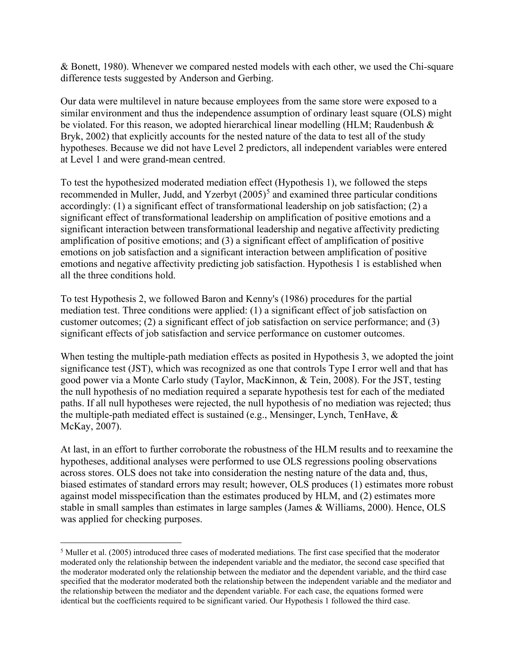& Bonett, 1980). Whenever we compared nested models with each other, we used the Chi-square difference tests suggested by Anderson and Gerbing.

Our data were multilevel in nature because employees from the same store were exposed to a similar environment and thus the independence assumption of ordinary least square (OLS) might be violated. For this reason, we adopted hierarchical linear modelling (HLM; Raudenbush & Bryk, 2002) that explicitly accounts for the nested nature of the data to test all of the study hypotheses. Because we did not have Level 2 predictors, all independent variables were entered at Level 1 and were grand-mean centred.

To test the hypothesized moderated mediation effect (Hypothesis 1), we followed the steps recommended in Muller, Judd, and Yzerbyt  $(2005)^5$  $(2005)^5$  $(2005)^5$  and examined three particular conditions accordingly: (1) a significant effect of transformational leadership on job satisfaction; (2) a significant effect of transformational leadership on amplification of positive emotions and a significant interaction between transformational leadership and negative affectivity predicting amplification of positive emotions; and (3) a significant effect of amplification of positive emotions on job satisfaction and a significant interaction between amplification of positive emotions and negative affectivity predicting job satisfaction. Hypothesis 1 is established when all the three conditions hold.

To test Hypothesis 2, we followed Baron and Kenny's (1986) procedures for the partial mediation test. Three conditions were applied: (1) a significant effect of job satisfaction on customer outcomes; (2) a significant effect of job satisfaction on service performance; and (3) significant effects of job satisfaction and service performance on customer outcomes.

When testing the multiple-path mediation effects as posited in Hypothesis 3, we adopted the joint significance test (JST), which was recognized as one that controls Type I error well and that has good power via a Monte Carlo study (Taylor, MacKinnon, & Tein, 2008). For the JST, testing the null hypothesis of no mediation required a separate hypothesis test for each of the mediated paths. If all null hypotheses were rejected, the null hypothesis of no mediation was rejected; thus the multiple-path mediated effect is sustained (e.g., Mensinger, Lynch, TenHave, & McKay, 2007).

At last, in an effort to further corroborate the robustness of the HLM results and to reexamine the hypotheses, additional analyses were performed to use OLS regressions pooling observations across stores. OLS does not take into consideration the nesting nature of the data and, thus, biased estimates of standard errors may result; however, OLS produces (1) estimates more robust against model misspecification than the estimates produced by HLM, and (2) estimates more stable in small samples than estimates in large samples (James & Williams, 2000). Hence, OLS was applied for checking purposes.

<span id="page-11-0"></span> $<sup>5</sup>$  Muller et al. (2005) introduced three cases of moderated mediations. The first case specified that the moderator</sup> moderated only the relationship between the independent variable and the mediator, the second case specified that the moderator moderated only the relationship between the mediator and the dependent variable, and the third case specified that the moderator moderated both the relationship between the independent variable and the mediator and the relationship between the mediator and the dependent variable. For each case, the equations formed were identical but the coefficients required to be significant varied. Our Hypothesis 1 followed the third case.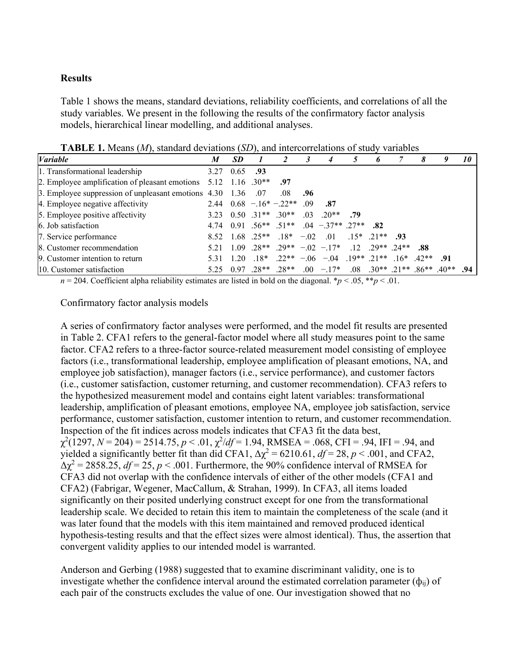#### **Results**

Table 1 shows the means, standard deviations, reliability coefficients, and correlations of all the study variables. We present in the following the results of the confirmatory factor analysis models, hierarchical linear modelling, and additional analyses.

**TABLE 1.** Means (*M*), standard deviations (*SD*), and intercorrelations of study variables

| <i>Variable</i>                                                              | M    | <b>SD</b> |        | 2                            | 3   | 4                                                             | 5   | 6   |     | 8                                                 | у | 10 |
|------------------------------------------------------------------------------|------|-----------|--------|------------------------------|-----|---------------------------------------------------------------|-----|-----|-----|---------------------------------------------------|---|----|
| 1. Transformational leadership                                               | 3.27 | 0.65      | .93    |                              |     |                                                               |     |     |     |                                                   |   |    |
| 2. Employee amplification of pleasant emotions $5.12 \quad 1.16 \quad .30**$ |      |           |        | .97                          |     |                                                               |     |     |     |                                                   |   |    |
| 3. Employee suppression of unpleasant emotions 4.30 1.36                     |      |           | .07    | .08                          | .96 |                                                               |     |     |     |                                                   |   |    |
| 4. Employee negative affectivity                                             |      |           |        | 2.44 $0.68 - 16* - 22**$ .09 |     | .87                                                           |     |     |     |                                                   |   |    |
| 5. Employee positive affectivity                                             | 3.23 |           |        | $0.50$ $.31**$ $.30**$       | .03 | $20**$                                                        | .79 |     |     |                                                   |   |    |
| 6. Job satisfaction                                                          |      |           |        |                              |     | 4.74 0.91 .56** .51** .04 - 37** .27**                        |     | .82 |     |                                                   |   |    |
| 7. Service performance                                                       | 8.52 |           |        |                              |     | $1.68$ $.25^{**}$ $.18^{*}$ $-.02$ $.01$ $.15^{*}$ $.21^{**}$ |     |     | .93 |                                                   |   |    |
| 8. Customer recommendation                                                   | 5.21 |           |        |                              |     | $1.09$ $.28**$ $.29**$ $-02$ $-17*$ $.12$ $.29**$ $.24**$     |     |     |     | .88                                               |   |    |
| 9. Customer intention to return                                              | 5.31 | 1.20      | $.18*$ |                              |     | $.22^{**}$ -.06 -.04 .19** .21** .16* .42** .91               |     |     |     |                                                   |   |    |
| 10. Customer satisfaction                                                    | 5.25 |           |        | $0.97$ $.28**$ $.28**$       |     | $.00 - 17*$                                                   |     |     |     | $0.08$ $0.30**$ $0.21**$ $0.86**$ $0.40**$ $0.94$ |   |    |

 $n = 204$ . Coefficient alpha reliability estimates are listed in bold on the diagonal.  $\frac{*}{b} < 0.05$ ,  $\frac{*}{b} < 0.01$ .

#### Confirmatory factor analysis models

A series of confirmatory factor analyses were performed, and the model fit results are presented in Table 2. CFA1 refers to the general-factor model where all study measures point to the same factor. CFA2 refers to a three-factor source-related measurement model consisting of employee factors (i.e., transformational leadership, employee amplification of pleasant emotions, NA, and employee job satisfaction), manager factors (i.e., service performance), and customer factors (i.e., customer satisfaction, customer returning, and customer recommendation). CFA3 refers to the hypothesized measurement model and contains eight latent variables: transformational leadership, amplification of pleasant emotions, employee NA, employee job satisfaction, service performance, customer satisfaction, customer intention to return, and customer recommendation. Inspection of the fit indices across models indicates that CFA3 fit the data best,  $\chi^2(1297, N = 204) = 2514.75, p < .01, \chi^2/df = 1.94, RMSEA = .068, CFI = .94, IFI = .94, and$ yielded a significantly better fit than did CFA1,  $\Delta \chi^2 = 6210.61$ ,  $df = 28$ ,  $p < .001$ , and CFA2,  $\Delta \chi^2 = 2858.25$ ,  $df = 25$ ,  $p < .001$ . Furthermore, the 90% confidence interval of RMSEA for CFA3 did not overlap with the confidence intervals of either of the other models (CFA1 and CFA2) (Fabrigar, Wegener, MacCallum, & Strahan, 1999). In CFA3, all items loaded significantly on their posited underlying construct except for one from the transformational leadership scale. We decided to retain this item to maintain the completeness of the scale (and it was later found that the models with this item maintained and removed produced identical hypothesis-testing results and that the effect sizes were almost identical). Thus, the assertion that convergent validity applies to our intended model is warranted.

Anderson and Gerbing (1988) suggested that to examine discriminant validity, one is to investigate whether the confidence interval around the estimated correlation parameter  $(\phi_{ii})$  of each pair of the constructs excludes the value of one. Our investigation showed that no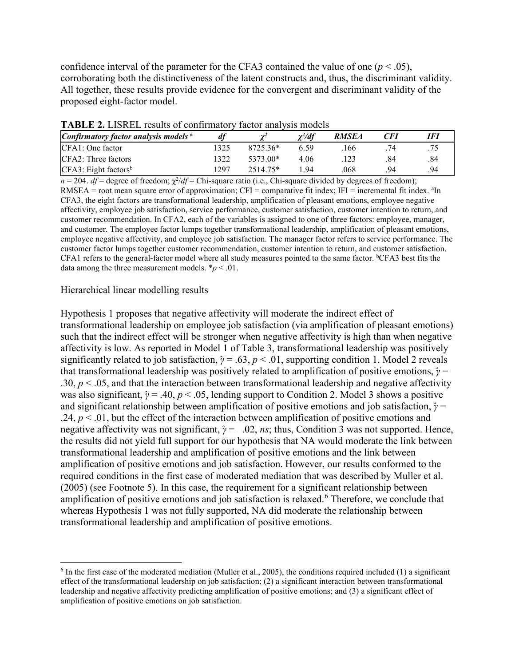confidence interval of the parameter for the CFA3 contained the value of one  $(p < .05)$ , corroborating both the distinctiveness of the latent constructs and, thus, the discriminant validity. All together, these results provide evidence for the convergent and discriminant validity of the proposed eight-factor model.

| <b>THOMAS, MORTH ROUGHO OF COMMUNICI</b>         |      | Tuetor unui võib mõuelb |             |              |     |     |
|--------------------------------------------------|------|-------------------------|-------------|--------------|-----|-----|
| Confirmatory factor analysis models <sup>a</sup> |      |                         | $\chi^2/df$ | <b>RMSEA</b> | CFI |     |
| CFA1: One factor                                 | 1325 | 8725.36*                | 6.59        | .166         |     |     |
| CFA2: Three factors                              | 1322 | 5373.00*                | 4.06        |              | .84 | .84 |
| $CFA3$ : Eight factors <sup>b</sup>              | 1297 | $2514.75*$              | -94         | .068         | 94  | 94  |

**TABLE 2.** LISREL results of confirmatory factor analysis models

 $n = 204$ .  $df =$  degree of freedom;  $\chi^2/df =$  Chi-square ratio (i.e., Chi-square divided by degrees of freedom); RMSEA = root mean square error of approximation; CFI = comparative fit index; IFI = incremental fit index. <sup>a</sup>In CFA3, the eight factors are transformational leadership, amplification of pleasant emotions, employee negative affectivity, employee job satisfaction, service performance, customer satisfaction, customer intention to return, and customer recommendation. In CFA2, each of the variables is assigned to one of three factors: employee, manager, and customer. The employee factor lumps together transformational leadership, amplification of pleasant emotions, employee negative affectivity, and employee job satisfaction. The manager factor refers to service performance. The customer factor lumps together customer recommendation, customer intention to return, and customer satisfaction. CFA1 refers to the general-factor model where all study measures pointed to the same factor. <sup>b</sup>CFA3 best fits the data among the three measurement models.  $\frac{*}{p}$  < .01.

### Hierarchical linear modelling results

Hypothesis 1 proposes that negative affectivity will moderate the indirect effect of transformational leadership on employee job satisfaction (via amplification of pleasant emotions) such that the indirect effect will be stronger when negative affectivity is high than when negative affectivity is low. As reported in Model 1 of Table 3, transformational leadership was positively significantly related to job satisfaction,  $\hat{\gamma} = .63$ ,  $p < .01$ , supporting condition 1. Model 2 reveals that transformational leadership was positively related to amplification of positive emotions,  $\hat{y}$  = .30,  $p < 0.05$ , and that the interaction between transformational leadership and negative affectivity was also significant,  $\hat{\gamma} = .40$ ,  $p < .05$ , lending support to Condition 2. Model 3 shows a positive and significant relationship between amplification of positive emotions and job satisfaction,  $\hat{\gamma}$  = .24,  $p < 0.01$ , but the effect of the interaction between amplification of positive emotions and negative affectivity was not significant,  $\hat{\gamma} = -0.02$ , *ns*; thus, Condition 3 was not supported. Hence, the results did not yield full support for our hypothesis that NA would moderate the link between transformational leadership and amplification of positive emotions and the link between amplification of positive emotions and job satisfaction. However, our results conformed to the required conditions in the first case of moderated mediation that was described by Muller et al. (2005) (see Footnote 5). In this case, the requirement for a significant relationship between amplification of positive emotions and job satisfaction is relaxed.<sup>[6](#page-13-0)</sup> Therefore, we conclude that whereas Hypothesis 1 was not fully supported, NA did moderate the relationship between transformational leadership and amplification of positive emotions.

<span id="page-13-0"></span> $6$  In the first case of the moderated mediation (Muller et al., 2005), the conditions required included (1) a significant effect of the transformational leadership on job satisfaction; (2) a significant interaction between transformational leadership and negative affectivity predicting amplification of positive emotions; and (3) a significant effect of amplification of positive emotions on job satisfaction.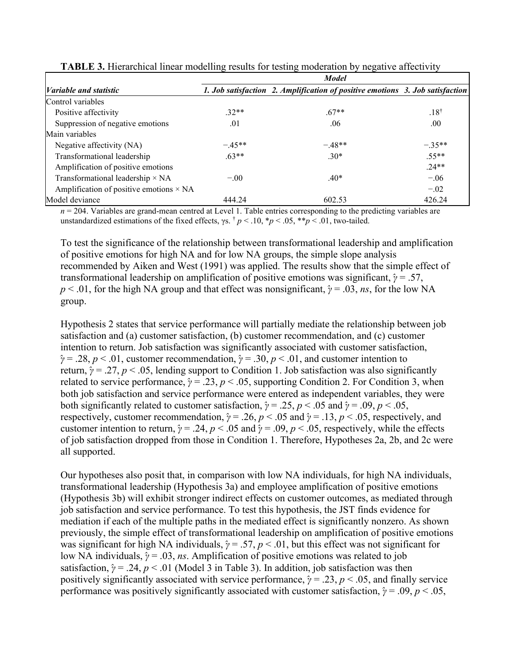|                                                | <b>Model</b> |                                                                               |                 |  |  |  |  |  |
|------------------------------------------------|--------------|-------------------------------------------------------------------------------|-----------------|--|--|--|--|--|
| <i>Variable and statistic</i>                  |              | 1. Job satisfaction 2. Amplification of positive emotions 3. Job satisfaction |                 |  |  |  |  |  |
| Control variables                              |              |                                                                               |                 |  |  |  |  |  |
| Positive affectivity                           | $.32**$      | $.67**$                                                                       | $.18^{\dagger}$ |  |  |  |  |  |
| Suppression of negative emotions               | .01          | .06                                                                           | .00.            |  |  |  |  |  |
| Main variables                                 |              |                                                                               |                 |  |  |  |  |  |
| Negative affectivity (NA)                      | $-45**$      | $-.48**$                                                                      | $-.35**$        |  |  |  |  |  |
| Transformational leadership                    | $.63**$      | $.30*$                                                                        | $.55**$         |  |  |  |  |  |
| Amplification of positive emotions             |              |                                                                               | $.24**$         |  |  |  |  |  |
| Transformational leadership $\times$ NA        | $-.00$       | $.40*$                                                                        | $-.06$          |  |  |  |  |  |
| Amplification of positive emotions $\times$ NA |              |                                                                               | $-.02$          |  |  |  |  |  |
| Model deviance                                 | 444.24       | 602.53                                                                        | 426.24          |  |  |  |  |  |

**TABLE 3.** Hierarchical linear modelling results for testing moderation by negative affectivity

 $n = 204$ . Variables are grand-mean centred at Level 1. Table entries corresponding to the predicting variables are unstandardized estimations of the fixed effects, γs. † *p* < .10, \**p* < .05, \*\**p* < .01, two-tailed.

To test the significance of the relationship between transformational leadership and amplification of positive emotions for high NA and for low NA groups, the simple slope analysis recommended by Aiken and West (1991) was applied. The results show that the simple effect of transformational leadership on amplification of positive emotions was significant,  $\hat{\gamma} = .57$ , *p* < .01, for the high NA group and that effect was nonsignificant, *̂γ* = .03, *ns*, for the low NA group.

Hypothesis 2 states that service performance will partially mediate the relationship between job satisfaction and (a) customer satisfaction, (b) customer recommendation, and (c) customer intention to return. Job satisfaction was significantly associated with customer satisfaction,  $\hat{\gamma}$  = .28, *p* < .01, customer recommendation,  $\hat{\gamma}$  = .30, *p* < .01, and customer intention to return,  $\hat{y} = .27$ ,  $p < .05$ , lending support to Condition 1. Job satisfaction was also significantly related to service performance,  $\hat{y} = .23$ ,  $p < .05$ , supporting Condition 2. For Condition 3, when both job satisfaction and service performance were entered as independent variables, they were both significantly related to customer satisfaction,  $\hat{\gamma} = .25$ ,  $p < .05$  and  $\hat{\gamma} = .09$ ,  $p < .05$ , respectively, customer recommendation,  $\hat{y} = .26$ ,  $p < .05$  and  $\hat{y} = .13$ ,  $p < .05$ , respectively, and customer intention to return,  $\hat{\gamma} = .24$ ,  $p < .05$  and  $\hat{\gamma} = .09$ ,  $p < .05$ , respectively, while the effects of job satisfaction dropped from those in Condition 1. Therefore, Hypotheses 2a, 2b, and 2c were all supported.

Our hypotheses also posit that, in comparison with low NA individuals, for high NA individuals, transformational leadership (Hypothesis 3a) and employee amplification of positive emotions (Hypothesis 3b) will exhibit stronger indirect effects on customer outcomes, as mediated through job satisfaction and service performance. To test this hypothesis, the JST finds evidence for mediation if each of the multiple paths in the mediated effect is significantly nonzero. As shown previously, the simple effect of transformational leadership on amplification of positive emotions was significant for high NA individuals,  $\hat{\gamma} = .57$ ,  $p < .01$ , but this effect was not significant for low NA individuals,  $\hat{\gamma} = .03$ , *ns.* Amplification of positive emotions was related to job satisfaction,  $\hat{\gamma} = .24$ ,  $p < .01$  (Model 3 in Table 3). In addition, job satisfaction was then positively significantly associated with service performance,  $\hat{\gamma} = .23$ ,  $p < .05$ , and finally service performance was positively significantly associated with customer satisfaction,  $\hat{\gamma} = .09$ ,  $p < .05$ ,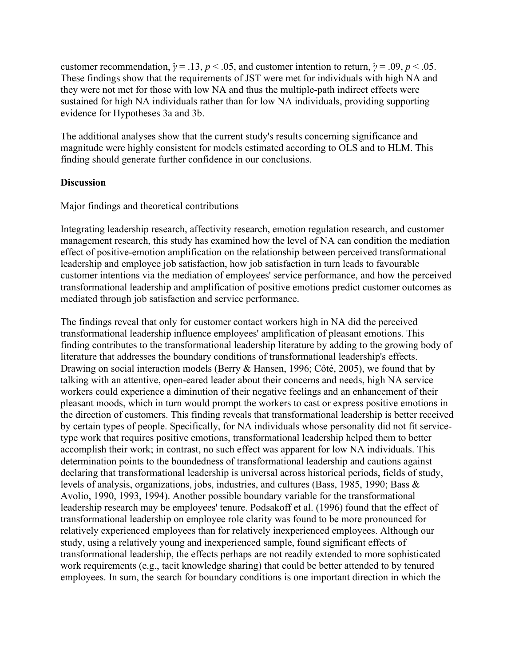customer recommendation,  $\hat{\gamma} = .13$ ,  $p < .05$ , and customer intention to return,  $\hat{\gamma} = .09$ ,  $p < .05$ . These findings show that the requirements of JST were met for individuals with high NA and they were not met for those with low NA and thus the multiple-path indirect effects were sustained for high NA individuals rather than for low NA individuals, providing supporting evidence for Hypotheses 3a and 3b.

The additional analyses show that the current study's results concerning significance and magnitude were highly consistent for models estimated according to OLS and to HLM. This finding should generate further confidence in our conclusions.

### **Discussion**

Major findings and theoretical contributions

Integrating leadership research, affectivity research, emotion regulation research, and customer management research, this study has examined how the level of NA can condition the mediation effect of positive-emotion amplification on the relationship between perceived transformational leadership and employee job satisfaction, how job satisfaction in turn leads to favourable customer intentions via the mediation of employees' service performance, and how the perceived transformational leadership and amplification of positive emotions predict customer outcomes as mediated through job satisfaction and service performance.

The findings reveal that only for customer contact workers high in NA did the perceived transformational leadership influence employees' amplification of pleasant emotions. This finding contributes to the transformational leadership literature by adding to the growing body of literature that addresses the boundary conditions of transformational leadership's effects. Drawing on social interaction models (Berry & Hansen, 1996; Côté, 2005), we found that by talking with an attentive, open-eared leader about their concerns and needs, high NA service workers could experience a diminution of their negative feelings and an enhancement of their pleasant moods, which in turn would prompt the workers to cast or express positive emotions in the direction of customers. This finding reveals that transformational leadership is better received by certain types of people. Specifically, for NA individuals whose personality did not fit servicetype work that requires positive emotions, transformational leadership helped them to better accomplish their work; in contrast, no such effect was apparent for low NA individuals. This determination points to the boundedness of transformational leadership and cautions against declaring that transformational leadership is universal across historical periods, fields of study, levels of analysis, organizations, jobs, industries, and cultures (Bass, 1985, 1990; Bass & Avolio, 1990, 1993, 1994). Another possible boundary variable for the transformational leadership research may be employees' tenure. Podsakoff et al. (1996) found that the effect of transformational leadership on employee role clarity was found to be more pronounced for relatively experienced employees than for relatively inexperienced employees. Although our study, using a relatively young and inexperienced sample, found significant effects of transformational leadership, the effects perhaps are not readily extended to more sophisticated work requirements (e.g., tacit knowledge sharing) that could be better attended to by tenured employees. In sum, the search for boundary conditions is one important direction in which the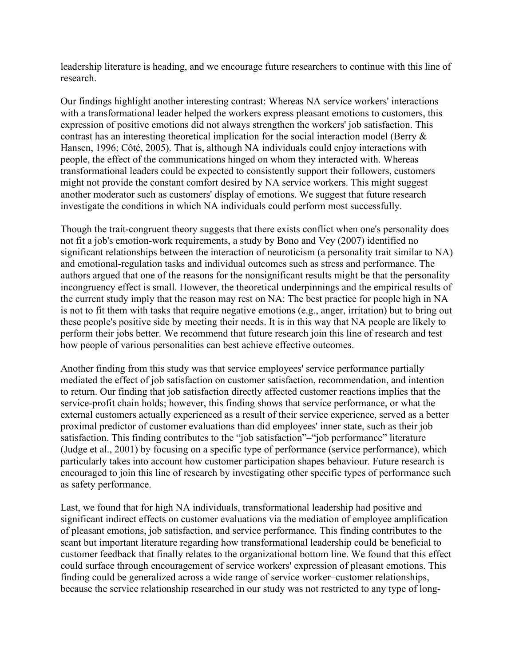leadership literature is heading, and we encourage future researchers to continue with this line of research.

Our findings highlight another interesting contrast: Whereas NA service workers' interactions with a transformational leader helped the workers express pleasant emotions to customers, this expression of positive emotions did not always strengthen the workers' job satisfaction. This contrast has an interesting theoretical implication for the social interaction model (Berry & Hansen, 1996; Côté, 2005). That is, although NA individuals could enjoy interactions with people, the effect of the communications hinged on whom they interacted with. Whereas transformational leaders could be expected to consistently support their followers, customers might not provide the constant comfort desired by NA service workers. This might suggest another moderator such as customers' display of emotions. We suggest that future research investigate the conditions in which NA individuals could perform most successfully.

Though the trait-congruent theory suggests that there exists conflict when one's personality does not fit a job's emotion-work requirements, a study by Bono and Vey (2007) identified no significant relationships between the interaction of neuroticism (a personality trait similar to NA) and emotional-regulation tasks and individual outcomes such as stress and performance. The authors argued that one of the reasons for the nonsignificant results might be that the personality incongruency effect is small. However, the theoretical underpinnings and the empirical results of the current study imply that the reason may rest on NA: The best practice for people high in NA is not to fit them with tasks that require negative emotions (e.g., anger, irritation) but to bring out these people's positive side by meeting their needs. It is in this way that NA people are likely to perform their jobs better. We recommend that future research join this line of research and test how people of various personalities can best achieve effective outcomes.

Another finding from this study was that service employees' service performance partially mediated the effect of job satisfaction on customer satisfaction, recommendation, and intention to return. Our finding that job satisfaction directly affected customer reactions implies that the service-profit chain holds; however, this finding shows that service performance, or what the external customers actually experienced as a result of their service experience, served as a better proximal predictor of customer evaluations than did employees' inner state, such as their job satisfaction. This finding contributes to the "job satisfaction"–"job performance" literature (Judge et al., 2001) by focusing on a specific type of performance (service performance), which particularly takes into account how customer participation shapes behaviour. Future research is encouraged to join this line of research by investigating other specific types of performance such as safety performance.

Last, we found that for high NA individuals, transformational leadership had positive and significant indirect effects on customer evaluations via the mediation of employee amplification of pleasant emotions, job satisfaction, and service performance. This finding contributes to the scant but important literature regarding how transformational leadership could be beneficial to customer feedback that finally relates to the organizational bottom line. We found that this effect could surface through encouragement of service workers' expression of pleasant emotions. This finding could be generalized across a wide range of service worker–customer relationships, because the service relationship researched in our study was not restricted to any type of long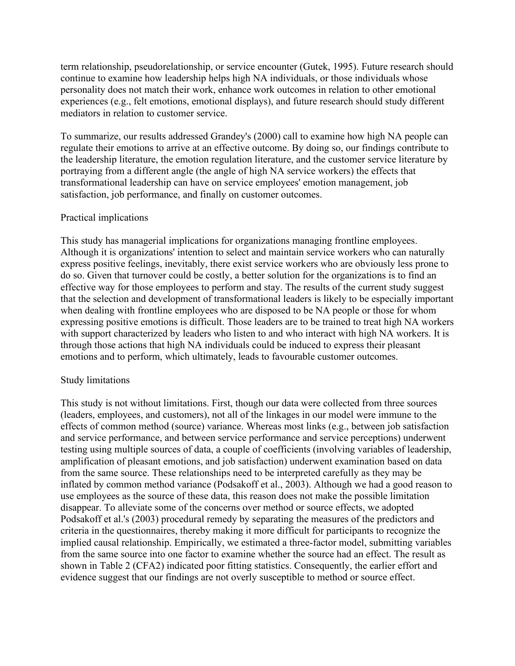term relationship, pseudorelationship, or service encounter (Gutek, 1995). Future research should continue to examine how leadership helps high NA individuals, or those individuals whose personality does not match their work, enhance work outcomes in relation to other emotional experiences (e.g., felt emotions, emotional displays), and future research should study different mediators in relation to customer service.

To summarize, our results addressed Grandey's (2000) call to examine how high NA people can regulate their emotions to arrive at an effective outcome. By doing so, our findings contribute to the leadership literature, the emotion regulation literature, and the customer service literature by portraying from a different angle (the angle of high NA service workers) the effects that transformational leadership can have on service employees' emotion management, job satisfaction, job performance, and finally on customer outcomes.

#### Practical implications

This study has managerial implications for organizations managing frontline employees. Although it is organizations' intention to select and maintain service workers who can naturally express positive feelings, inevitably, there exist service workers who are obviously less prone to do so. Given that turnover could be costly, a better solution for the organizations is to find an effective way for those employees to perform and stay. The results of the current study suggest that the selection and development of transformational leaders is likely to be especially important when dealing with frontline employees who are disposed to be NA people or those for whom expressing positive emotions is difficult. Those leaders are to be trained to treat high NA workers with support characterized by leaders who listen to and who interact with high NA workers. It is through those actions that high NA individuals could be induced to express their pleasant emotions and to perform, which ultimately, leads to favourable customer outcomes.

#### Study limitations

This study is not without limitations. First, though our data were collected from three sources (leaders, employees, and customers), not all of the linkages in our model were immune to the effects of common method (source) variance. Whereas most links (e.g., between job satisfaction and service performance, and between service performance and service perceptions) underwent testing using multiple sources of data, a couple of coefficients (involving variables of leadership, amplification of pleasant emotions, and job satisfaction) underwent examination based on data from the same source. These relationships need to be interpreted carefully as they may be inflated by common method variance (Podsakoff et al., 2003). Although we had a good reason to use employees as the source of these data, this reason does not make the possible limitation disappear. To alleviate some of the concerns over method or source effects, we adopted Podsakoff et al.'s (2003) procedural remedy by separating the measures of the predictors and criteria in the questionnaires, thereby making it more difficult for participants to recognize the implied causal relationship. Empirically, we estimated a three-factor model, submitting variables from the same source into one factor to examine whether the source had an effect. The result as shown in Table 2 (CFA2) indicated poor fitting statistics. Consequently, the earlier effort and evidence suggest that our findings are not overly susceptible to method or source effect.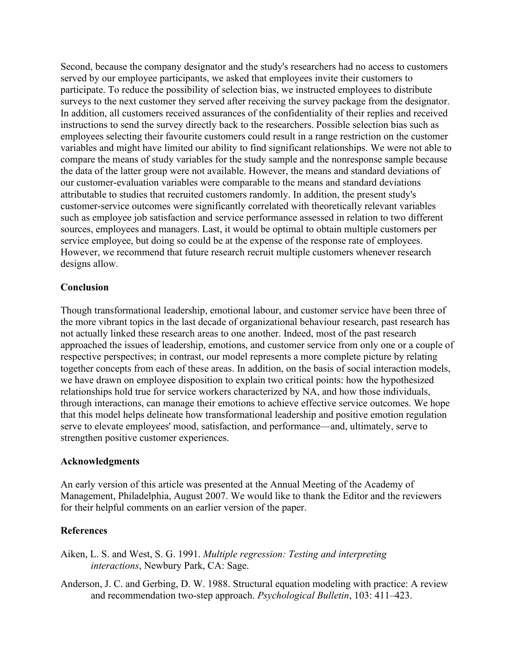Second, because the company designator and the study's researchers had no access to customers served by our employee participants, we asked that employees invite their customers to participate. To reduce the possibility of selection bias, we instructed employees to distribute surveys to the next customer they served after receiving the survey package from the designator. In addition, all customers received assurances of the confidentiality of their replies and received instructions to send the survey directly back to the researchers. Possible selection bias such as employees selecting their favourite customers could result in a range restriction on the customer variables and might have limited our ability to find significant relationships. We were not able to compare the means of study variables for the study sample and the nonresponse sample because the data of the latter group were not available. However, the means and standard deviations of our customer-evaluation variables were comparable to the means and standard deviations attributable to studies that recruited customers randomly. In addition, the present study's customer-service outcomes were significantly correlated with theoretically relevant variables such as employee job satisfaction and service performance assessed in relation to two different sources, employees and managers. Last, it would be optimal to obtain multiple customers per service employee, but doing so could be at the expense of the response rate of employees. However, we recommend that future research recruit multiple customers whenever research designs allow.

#### **Conclusion**

Though transformational leadership, emotional labour, and customer service have been three of the more vibrant topics in the last decade of organizational behaviour research, past research has not actually linked these research areas to one another. Indeed, most of the past research approached the issues of leadership, emotions, and customer service from only one or a couple of respective perspectives; in contrast, our model represents a more complete picture by relating together concepts from each of these areas. In addition, on the basis of social interaction models, we have drawn on employee disposition to explain two critical points: how the hypothesized relationships hold true for service workers characterized by NA, and how those individuals, through interactions, can manage their emotions to achieve effective service outcomes. We hope that this model helps delineate how transformational leadership and positive emotion regulation serve to elevate employees' mood, satisfaction, and performance—and, ultimately, serve to strengthen positive customer experiences.

#### **Acknowledgments**

An early version of this article was presented at the Annual Meeting of the Academy of Management, Philadelphia, August 2007. We would like to thank the Editor and the reviewers for their helpful comments on an earlier version of the paper.

### **References**

Aiken, L. S. and West, S. G. 1991. *Multiple regression: Testing and interpreting interactions*, Newbury Park, CA: Sage.

Anderson, J. C. and Gerbing, D. W. 1988. Structural equation modeling with practice: A review and recommendation two-step approach. *Psychological Bulletin*, 103: 411–423.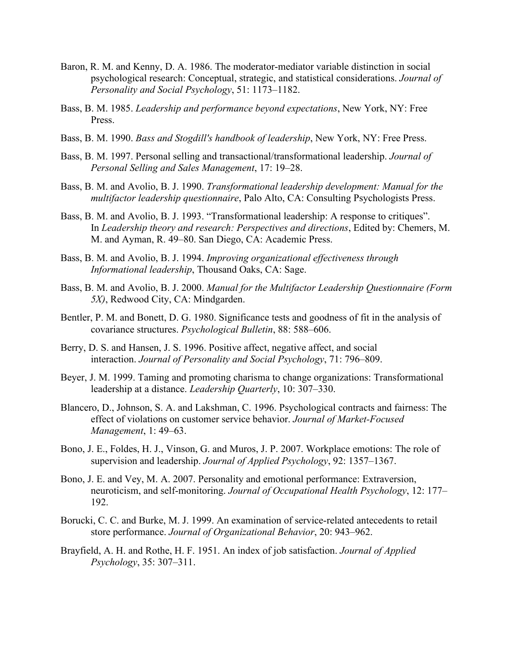- Baron, R. M. and Kenny, D. A. 1986. The moderator-mediator variable distinction in social psychological research: Conceptual, strategic, and statistical considerations. *Journal of Personality and Social Psychology*, 51: 1173–1182.
- Bass, B. M. 1985. *Leadership and performance beyond expectations*, New York, NY: Free Press.
- Bass, B. M. 1990. *Bass and Stogdill's handbook of leadership*, New York, NY: Free Press.
- Bass, B. M. 1997. Personal selling and transactional/transformational leadership. *Journal of Personal Selling and Sales Management*, 17: 19–28.
- Bass, B. M. and Avolio, B. J. 1990. *Transformational leadership development: Manual for the multifactor leadership questionnaire*, Palo Alto, CA: Consulting Psychologists Press.
- Bass, B. M. and Avolio, B. J. 1993. "Transformational leadership: A response to critiques". In *Leadership theory and research: Perspectives and directions*, Edited by: Chemers, M. M. and Ayman, R. 49–80. San Diego, CA: Academic Press.
- Bass, B. M. and Avolio, B. J. 1994. *Improving organizational effectiveness through Informational leadership*, Thousand Oaks, CA: Sage.
- Bass, B. M. and Avolio, B. J. 2000. *Manual for the Multifactor Leadership Questionnaire (Form 5X)*, Redwood City, CA: Mindgarden.
- Bentler, P. M. and Bonett, D. G. 1980. Significance tests and goodness of fit in the analysis of covariance structures. *Psychological Bulletin*, 88: 588–606.
- Berry, D. S. and Hansen, J. S. 1996. Positive affect, negative affect, and social interaction. *Journal of Personality and Social Psychology*, 71: 796–809.
- Beyer, J. M. 1999. Taming and promoting charisma to change organizations: Transformational leadership at a distance. *Leadership Quarterly*, 10: 307–330.
- Blancero, D., Johnson, S. A. and Lakshman, C. 1996. Psychological contracts and fairness: The effect of violations on customer service behavior. *Journal of Market-Focused Management*, 1: 49–63.
- Bono, J. E., Foldes, H. J., Vinson, G. and Muros, J. P. 2007. Workplace emotions: The role of supervision and leadership. *Journal of Applied Psychology*, 92: 1357–1367.
- Bono, J. E. and Vey, M. A. 2007. Personality and emotional performance: Extraversion, neuroticism, and self-monitoring. *Journal of Occupational Health Psychology*, 12: 177– 192.
- Borucki, C. C. and Burke, M. J. 1999. An examination of service-related antecedents to retail store performance. *Journal of Organizational Behavior*, 20: 943–962.
- Brayfield, A. H. and Rothe, H. F. 1951. An index of job satisfaction. *Journal of Applied Psychology*, 35: 307–311.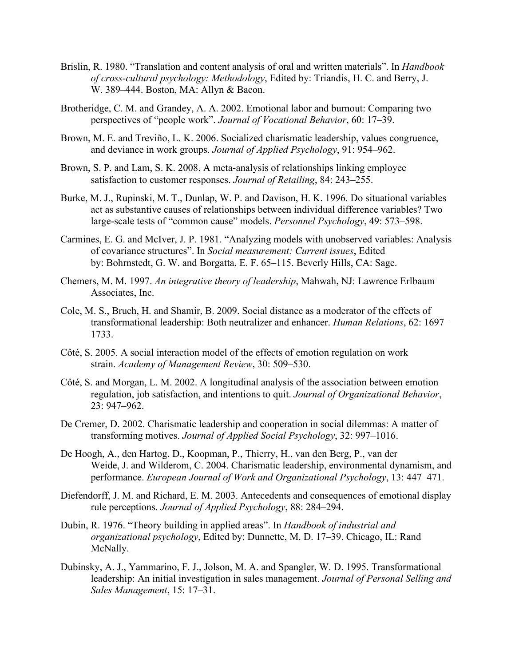- Brislin, R. 1980. "Translation and content analysis of oral and written materials". In *Handbook of cross-cultural psychology: Methodology*, Edited by: Triandis, H. C. and Berry, J. W. 389–444. Boston, MA: Allyn & Bacon.
- Brotheridge, C. M. and Grandey, A. A. 2002. Emotional labor and burnout: Comparing two perspectives of "people work". *Journal of Vocational Behavior*, 60: 17–39.
- Brown, M. E. and Treviño, L. K. 2006. Socialized charismatic leadership, values congruence, and deviance in work groups. *Journal of Applied Psychology*, 91: 954–962.
- Brown, S. P. and Lam, S. K. 2008. A meta-analysis of relationships linking employee satisfaction to customer responses. *Journal of Retailing*, 84: 243–255.
- Burke, M. J., Rupinski, M. T., Dunlap, W. P. and Davison, H. K. 1996. Do situational variables act as substantive causes of relationships between individual difference variables? Two large-scale tests of "common cause" models. *Personnel Psychology*, 49: 573–598.
- Carmines, E. G. and McIver, J. P. 1981. "Analyzing models with unobserved variables: Analysis of covariance structures". In *Social measurement: Current issues*, Edited by: Bohrnstedt, G. W. and Borgatta, E. F. 65–115. Beverly Hills, CA: Sage.
- Chemers, M. M. 1997. *An integrative theory of leadership*, Mahwah, NJ: Lawrence Erlbaum Associates, Inc.
- Cole, M. S., Bruch, H. and Shamir, B. 2009. Social distance as a moderator of the effects of transformational leadership: Both neutralizer and enhancer. *Human Relations*, 62: 1697– 1733.
- Côté, S. 2005. A social interaction model of the effects of emotion regulation on work strain. *Academy of Management Review*, 30: 509–530.
- Côté, S. and Morgan, L. M. 2002. A longitudinal analysis of the association between emotion regulation, job satisfaction, and intentions to quit. *Journal of Organizational Behavior*, 23: 947–962.
- De Cremer, D. 2002. Charismatic leadership and cooperation in social dilemmas: A matter of transforming motives. *Journal of Applied Social Psychology*, 32: 997–1016.
- De Hoogh, A., den Hartog, D., Koopman, P., Thierry, H., van den Berg, P., van der Weide, J. and Wilderom, C. 2004. Charismatic leadership, environmental dynamism, and performance. *European Journal of Work and Organizational Psychology*, 13: 447–471.
- Diefendorff, J. M. and Richard, E. M. 2003. Antecedents and consequences of emotional display rule perceptions. *Journal of Applied Psychology*, 88: 284–294.
- Dubin, R. 1976. "Theory building in applied areas". In *Handbook of industrial and organizational psychology*, Edited by: Dunnette, M. D. 17–39. Chicago, IL: Rand McNally.
- Dubinsky, A. J., Yammarino, F. J., Jolson, M. A. and Spangler, W. D. 1995. Transformational leadership: An initial investigation in sales management. *Journal of Personal Selling and Sales Management*, 15: 17–31.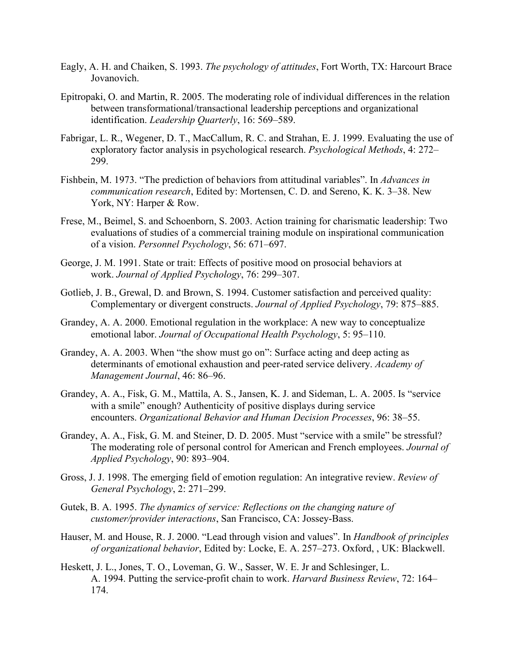- Eagly, A. H. and Chaiken, S. 1993. *The psychology of attitudes*, Fort Worth, TX: Harcourt Brace Jovanovich.
- Epitropaki, O. and Martin, R. 2005. The moderating role of individual differences in the relation between transformational/transactional leadership perceptions and organizational identification. *Leadership Quarterly*, 16: 569–589.
- Fabrigar, L. R., Wegener, D. T., MacCallum, R. C. and Strahan, E. J. 1999. Evaluating the use of exploratory factor analysis in psychological research. *Psychological Methods*, 4: 272– 299.
- Fishbein, M. 1973. "The prediction of behaviors from attitudinal variables". In *Advances in communication research*, Edited by: Mortensen, C. D. and Sereno, K. K. 3–38. New York, NY: Harper & Row.
- Frese, M., Beimel, S. and Schoenborn, S. 2003. Action training for charismatic leadership: Two evaluations of studies of a commercial training module on inspirational communication of a vision. *Personnel Psychology*, 56: 671–697.
- George, J. M. 1991. State or trait: Effects of positive mood on prosocial behaviors at work. *Journal of Applied Psychology*, 76: 299–307.
- Gotlieb, J. B., Grewal, D. and Brown, S. 1994. Customer satisfaction and perceived quality: Complementary or divergent constructs. *Journal of Applied Psychology*, 79: 875–885.
- Grandey, A. A. 2000. Emotional regulation in the workplace: A new way to conceptualize emotional labor. *Journal of Occupational Health Psychology*, 5: 95–110.
- Grandey, A. A. 2003. When "the show must go on": Surface acting and deep acting as determinants of emotional exhaustion and peer-rated service delivery. *Academy of Management Journal*, 46: 86–96.
- Grandey, A. A., Fisk, G. M., Mattila, A. S., Jansen, K. J. and Sideman, L. A. 2005. Is "service with a smile" enough? Authenticity of positive displays during service encounters. *Organizational Behavior and Human Decision Processes*, 96: 38–55.
- Grandey, A. A., Fisk, G. M. and Steiner, D. D. 2005. Must "service with a smile" be stressful? The moderating role of personal control for American and French employees. *Journal of Applied Psychology*, 90: 893–904.
- Gross, J. J. 1998. The emerging field of emotion regulation: An integrative review. *Review of General Psychology*, 2: 271–299.
- Gutek, B. A. 1995. *The dynamics of service: Reflections on the changing nature of customer/provider interactions*, San Francisco, CA: Jossey-Bass.
- Hauser, M. and House, R. J. 2000. "Lead through vision and values". In *Handbook of principles of organizational behavior*, Edited by: Locke, E. A. 257–273. Oxford, , UK: Blackwell.
- Heskett, J. L., Jones, T. O., Loveman, G. W., Sasser, W. E. Jr and Schlesinger, L. A. 1994. Putting the service-profit chain to work. *Harvard Business Review*, 72: 164– 174.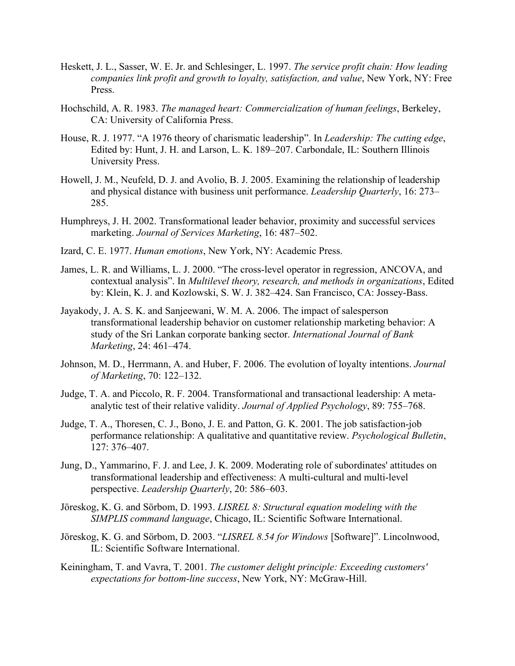- Heskett, J. L., Sasser, W. E. Jr. and Schlesinger, L. 1997. *The service profit chain: How leading companies link profit and growth to loyalty, satisfaction, and value*, New York, NY: Free Press.
- Hochschild, A. R. 1983. *The managed heart: Commercialization of human feelings*, Berkeley, CA: University of California Press.
- House, R. J. 1977. "A 1976 theory of charismatic leadership". In *Leadership: The cutting edge*, Edited by: Hunt, J. H. and Larson, L. K. 189–207. Carbondale, IL: Southern Illinois University Press.
- Howell, J. M., Neufeld, D. J. and Avolio, B. J. 2005. Examining the relationship of leadership and physical distance with business unit performance. *Leadership Quarterly*, 16: 273– 285.
- Humphreys, J. H. 2002. Transformational leader behavior, proximity and successful services marketing. *Journal of Services Marketing*, 16: 487–502.
- Izard, C. E. 1977. *Human emotions*, New York, NY: Academic Press.
- James, L. R. and Williams, L. J. 2000. "The cross-level operator in regression, ANCOVA, and contextual analysis". In *Multilevel theory, research, and methods in organizations*, Edited by: Klein, K. J. and Kozlowski, S. W. J. 382–424. San Francisco, CA: Jossey-Bass.
- Jayakody, J. A. S. K. and Sanjeewani, W. M. A. 2006. The impact of salesperson transformational leadership behavior on customer relationship marketing behavior: A study of the Sri Lankan corporate banking sector. *International Journal of Bank Marketing*, 24: 461–474.
- Johnson, M. D., Herrmann, A. and Huber, F. 2006. The evolution of loyalty intentions. *Journal of Marketing*, 70: 122–132.
- Judge, T. A. and Piccolo, R. F. 2004. Transformational and transactional leadership: A metaanalytic test of their relative validity. *Journal of Applied Psychology*, 89: 755–768.
- Judge, T. A., Thoresen, C. J., Bono, J. E. and Patton, G. K. 2001. The job satisfaction-job performance relationship: A qualitative and quantitative review. *Psychological Bulletin*, 127: 376–407.
- Jung, D., Yammarino, F. J. and Lee, J. K. 2009. Moderating role of subordinates' attitudes on transformational leadership and effectiveness: A multi-cultural and multi-level perspective. *Leadership Quarterly*, 20: 586–603.
- Jöreskog, K. G. and Sörbom, D. 1993. *LISREL 8: Structural equation modeling with the SIMPLIS command language*, Chicago, IL: Scientific Software International.
- Jöreskog, K. G. and Sörbom, D. 2003. "*LISREL 8.54 for Windows* [Software]". Lincolnwood, IL: Scientific Software International.
- Keiningham, T. and Vavra, T. 2001. *The customer delight principle: Exceeding customers' expectations for bottom-line success*, New York, NY: McGraw-Hill.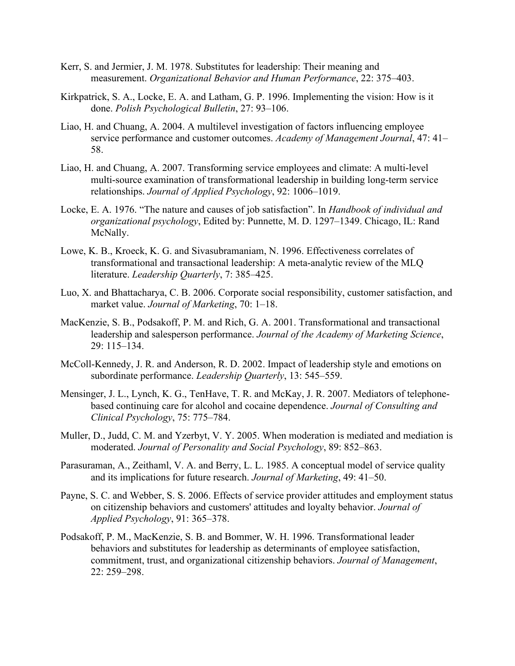- Kerr, S. and Jermier, J. M. 1978. Substitutes for leadership: Their meaning and measurement. *Organizational Behavior and Human Performance*, 22: 375–403.
- Kirkpatrick, S. A., Locke, E. A. and Latham, G. P. 1996. Implementing the vision: How is it done. *Polish Psychological Bulletin*, 27: 93–106.
- Liao, H. and Chuang, A. 2004. A multilevel investigation of factors influencing employee service performance and customer outcomes. *Academy of Management Journal*, 47: 41– 58.
- Liao, H. and Chuang, A. 2007. Transforming service employees and climate: A multi-level multi-source examination of transformational leadership in building long-term service relationships. *Journal of Applied Psychology*, 92: 1006–1019.
- Locke, E. A. 1976. "The nature and causes of job satisfaction". In *Handbook of individual and organizational psychology*, Edited by: Punnette, M. D. 1297–1349. Chicago, IL: Rand McNally.
- Lowe, K. B., Kroeck, K. G. and Sivasubramaniam, N. 1996. Effectiveness correlates of transformational and transactional leadership: A meta-analytic review of the MLQ literature. *Leadership Quarterly*, 7: 385–425.
- Luo, X. and Bhattacharya, C. B. 2006. Corporate social responsibility, customer satisfaction, and market value. *Journal of Marketing*, 70: 1–18.
- MacKenzie, S. B., Podsakoff, P. M. and Rich, G. A. 2001. Transformational and transactional leadership and salesperson performance. *Journal of the Academy of Marketing Science*, 29: 115–134.
- McColl-Kennedy, J. R. and Anderson, R. D. 2002. Impact of leadership style and emotions on subordinate performance. *Leadership Quarterly*, 13: 545–559.
- Mensinger, J. L., Lynch, K. G., TenHave, T. R. and McKay, J. R. 2007. Mediators of telephonebased continuing care for alcohol and cocaine dependence. *Journal of Consulting and Clinical Psychology*, 75: 775–784.
- Muller, D., Judd, C. M. and Yzerbyt, V. Y. 2005. When moderation is mediated and mediation is moderated. *Journal of Personality and Social Psychology*, 89: 852–863.
- Parasuraman, A., Zeithaml, V. A. and Berry, L. L. 1985. A conceptual model of service quality and its implications for future research. *Journal of Marketing*, 49: 41–50.
- Payne, S. C. and Webber, S. S. 2006. Effects of service provider attitudes and employment status on citizenship behaviors and customers' attitudes and loyalty behavior. *Journal of Applied Psychology*, 91: 365–378.
- Podsakoff, P. M., MacKenzie, S. B. and Bommer, W. H. 1996. Transformational leader behaviors and substitutes for leadership as determinants of employee satisfaction, commitment, trust, and organizational citizenship behaviors. *Journal of Management*, 22: 259–298.